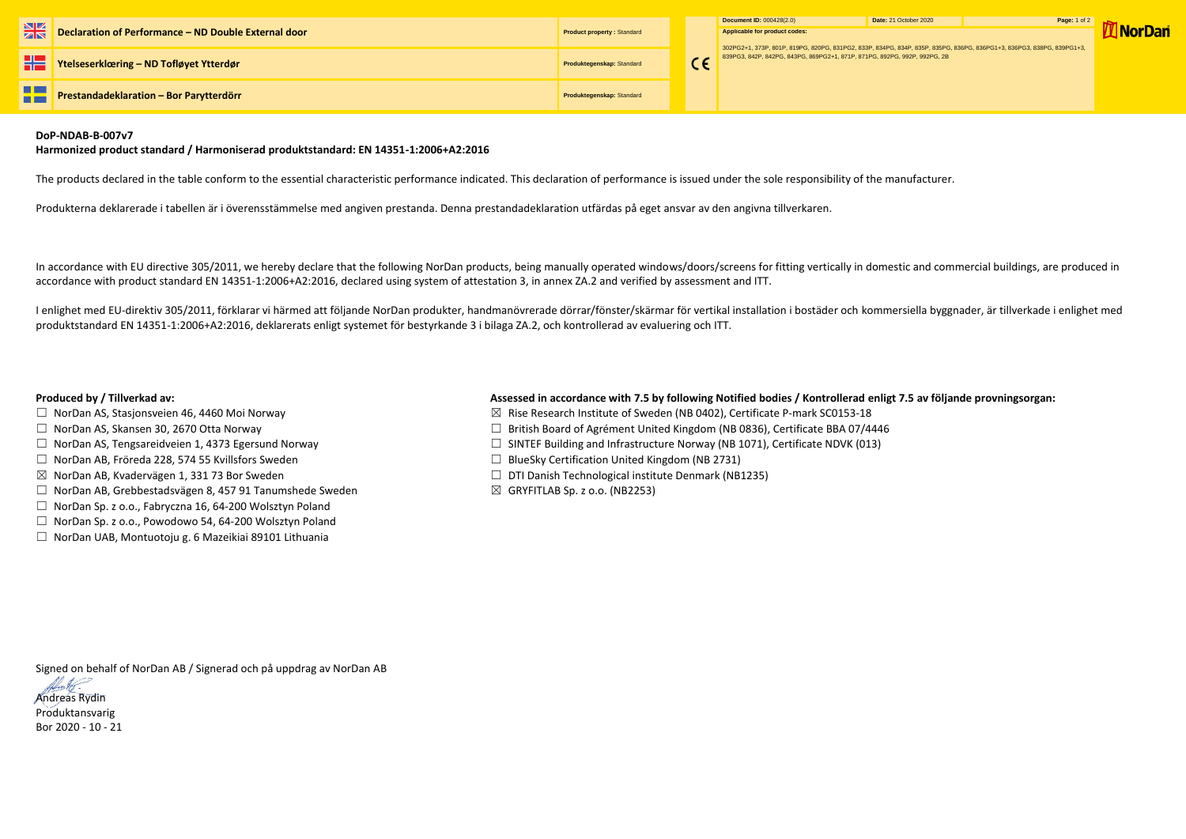|    |                                                             |                                   |  | Document ID: 000428(2.0)                                                                                                                                                                 | Date: 21 October 2020 |
|----|-------------------------------------------------------------|-----------------------------------|--|------------------------------------------------------------------------------------------------------------------------------------------------------------------------------------------|-----------------------|
|    | <b>Declaration of Performance – ND Double External door</b> | <b>Product property: Standard</b> |  | Applicable for product codes:<br>302PG2+1, 373P, 801P, 819PG, 820PG, 831PG2, 833P, 834PG, 834P, 835P, 835P(<br>839PG3, 842P, 842PG, 843PG, 869PG2+1, 871P, 871PG, 892PG, 992P, 992PG, 2E |                       |
|    | <b>THE Ytelseserklæring – ND Tofløyet Ytterdør</b>          | Produktegenskap: Standard         |  |                                                                                                                                                                                          |                       |
| H٣ | <b>Prestandadeklaration - Bor Parytterdörr</b>              | Produktegenskap: Standard         |  |                                                                                                                                                                                          |                       |

| Document ID: 000428(2.0)                                                                                                                                                                           | Date: 21 October 2020 | <b>Page: 1 of 2</b> |                 |
|----------------------------------------------------------------------------------------------------------------------------------------------------------------------------------------------------|-----------------------|---------------------|-----------------|
| <b>Applicable for product codes:</b>                                                                                                                                                               |                       |                     | <b>W</b> NorDan |
| 302PG2+1, 373P, 801P, 819PG, 820PG, 831PG2, 833P, 834PG, 834P, 835P, 835PG, 836PG, 836PG1+3, 836PG3, 838PG, 839PG1+3,<br>839PG3, 842P, 842PG, 843PG, 869PG2+1, 871P, 871PG, 892PG, 992P, 992PG, 2B |                       |                     |                 |

## **DoP-NDAB-B-007v7**

## **Harmonized product standard / Harmoniserad produktstandard: EN 14351-1:2006+A2:2016**

The products declared in the table conform to the essential characteristic performance indicated. This declaration of performance is issued under the sole responsibility of the manufacturer.

Produkterna deklarerade i tabellen är i överensstämmelse med angiven prestanda. Denna prestandadeklaration utfärdas på eget ansvar av den angivna tillverkaren.

In accordance with EU directive 305/2011, we hereby declare that the following NorDan products, being manually operated windows/doors/screens for fitting vertically in domestic and commercial buildings, are produced in accordance with product standard EN 14351-1:2006+A2:2016, declared using system of attestation 3, in annex ZA.2 and verified by assessment and ITT.

- □ NorDan AS, Stasjonsveien 46, 4460 Moi Norway 3. The State Research Institute of Sweden (NB 0402), Certificate P-mark SC0153-18
- ☐ NorDan AS, Skansen 30, 2670 Otta Norway ☐ British Board of Agrément United Kingdom (NB 0836), Certificate BBA 07/4446
- ☐ NorDan AS, Tengsareidveien 1, 4373 Egersund Norway ☐ SINTEF Building and Infrastructure Norway (NB 1071), Certificate NDVK (013)
	-
- ☒ NorDan AB, Kvadervägen 1, 331 73 Bor Sweden ☐ DTI Danish Technological institute Denmark (NB1235)
	-

I enlighet med EU-direktiv 305/2011, förklarar vi härmed att följande NorDan produkter, handmanövrerade dörrar/fönster/skärmar för vertikal installation i bostäder och kommersiella byggnader, är tillverkade i enlighet med produktstandard EN 14351-1:2006+A2:2016, deklarerats enligt systemet för bestyrkande 3 i bilaga ZA.2, och kontrollerad av evaluering och ITT.

## **Produced by / Tillverkad av: Assessed in accordance with 7.5 by following Notified bodies / Kontrollerad enligt 7.5 av följande provningsorgan:**

- 
- 
- 
- ☐ NorDan AB, Fröreda 228, 574 55 Kvillsfors Sweden ☐ BlueSky Certification United Kingdom (NB 2731)
- 
- ☐ NorDan AB, Grebbestadsvägen 8, 457 91 Tanumshede Sweden ☒ GRYFITLAB Sp. z o.o. (NB2253)
- ☐ NorDan Sp. z o.o., Fabryczna 16, 64-200 Wolsztyn Poland
- ☐ NorDan Sp. z o.o., Powodowo 54, 64-200 Wolsztyn Poland
- ☐ NorDan UAB, Montuotoju g. 6 Mazeikiai 89101 Lithuania

Signed on behalf of NorDan AB / Signerad och på uppdrag av NorDan AB

Andreas Rydin Produktansvarig Bor 2020 - 10 - 21